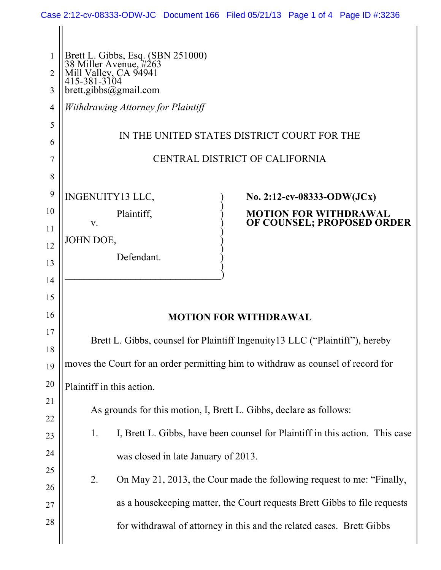| 1                   | Brett L. Gibbs, Esq. (SBN 251000)<br>38 Miller Avenue, #263<br>Mill Valley, CA 94941<br>415-381-3104 |  |  |  |  |
|---------------------|------------------------------------------------------------------------------------------------------|--|--|--|--|
| $\overline{2}$<br>3 | brett.gibbs@gmail.com                                                                                |  |  |  |  |
| 4                   | Withdrawing Attorney for Plaintiff                                                                   |  |  |  |  |
| 5                   |                                                                                                      |  |  |  |  |
| 6                   | IN THE UNITED STATES DISTRICT COURT FOR THE                                                          |  |  |  |  |
| 7                   | CENTRAL DISTRICT OF CALIFORNIA                                                                       |  |  |  |  |
| 8                   |                                                                                                      |  |  |  |  |
| 9                   | <b>INGENUITY13 LLC,</b><br>No. 2:12-cv-08333-ODW(JCx)                                                |  |  |  |  |
| 10                  | Plaintiff,<br><b>MOTION FOR WITHDRAWAL</b><br>OF COUNSEL; PROPOSED ORDER                             |  |  |  |  |
| 11                  | V.<br>JOHN DOE,                                                                                      |  |  |  |  |
| 12                  | Defendant.                                                                                           |  |  |  |  |
| 13                  |                                                                                                      |  |  |  |  |
| 14                  |                                                                                                      |  |  |  |  |
| 15                  |                                                                                                      |  |  |  |  |
| 16                  | <b>MOTION FOR WITHDRAWAL</b>                                                                         |  |  |  |  |
| 17<br>18            | Brett L. Gibbs, counsel for Plaintiff Ingenuity 13 LLC ("Plaintiff"), hereby                         |  |  |  |  |
| 19                  | moves the Court for an order permitting him to withdraw as counsel of record for                     |  |  |  |  |
| 20                  | Plaintiff in this action.                                                                            |  |  |  |  |
| 21                  | As grounds for this motion, I, Brett L. Gibbs, declare as follows:                                   |  |  |  |  |
| 22                  |                                                                                                      |  |  |  |  |
| 23                  | I, Brett L. Gibbs, have been counsel for Plaintiff in this action. This case<br>1.                   |  |  |  |  |
| 24                  | was closed in late January of 2013.                                                                  |  |  |  |  |
| 25                  | 2.<br>On May 21, 2013, the Cour made the following request to me: "Finally,                          |  |  |  |  |
| 26                  |                                                                                                      |  |  |  |  |
| 27                  | as a house keeping matter, the Court requests Brett Gibbs to file requests                           |  |  |  |  |
| 28                  | for withdrawal of attorney in this and the related cases. Brett Gibbs                                |  |  |  |  |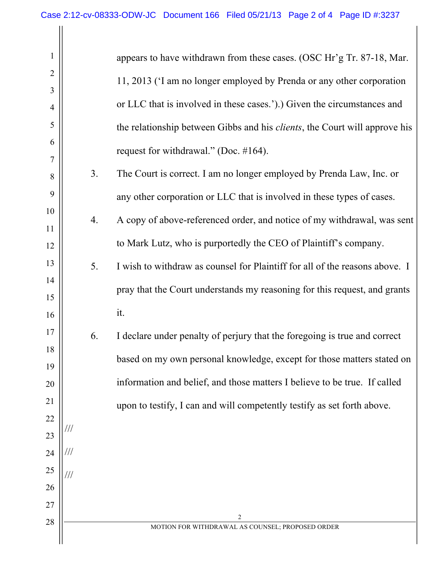| 1              |     |    | appears to have withdrawn from these cases. (OSC Hr'g Tr. 87-18, Mar.              |
|----------------|-----|----|------------------------------------------------------------------------------------|
| $\overline{2}$ |     |    | 11, 2013 (I am no longer employed by Prenda or any other corporation               |
| 3              |     |    | or LLC that is involved in these cases.').) Given the circumstances and            |
| 4<br>5         |     |    |                                                                                    |
| 6              |     |    | the relationship between Gibbs and his <i>clients</i> , the Court will approve his |
| 7              |     |    | request for withdrawal." (Doc. $\#164$ ).                                          |
| 8              |     | 3. | The Court is correct. I am no longer employed by Prenda Law, Inc. or               |
| 9              |     |    | any other corporation or LLC that is involved in these types of cases.             |
| 10             |     | 4. | A copy of above-referenced order, and notice of my withdrawal, was sent            |
| 11<br>12       |     |    | to Mark Lutz, who is purportedly the CEO of Plaintiff's company.                   |
| 13             |     | 5. | I wish to withdraw as counsel for Plaintiff for all of the reasons above. I        |
| 14             |     |    |                                                                                    |
| 15             |     |    | pray that the Court understands my reasoning for this request, and grants          |
| 16             |     |    | it.                                                                                |
| 17             |     | 6. | I declare under penalty of perjury that the foregoing is true and correct          |
| 18             |     |    | based on my own personal knowledge, except for those matters stated on             |
| 19<br>20       |     |    | information and belief, and those matters I believe to be true. If called          |
| 21             |     |    | upon to testify, I can and will competently testify as set forth above.            |
| 22             |     |    |                                                                                    |
| 23             | /// |    |                                                                                    |
| 24             | /// |    |                                                                                    |
| 25             |     |    |                                                                                    |
| 26             |     |    |                                                                                    |
| 27<br>28       |     |    | $\overline{c}$                                                                     |
|                |     |    | MOTION FOR WITHDRAWAL AS COUNSEL; PROPOSED ORDER                                   |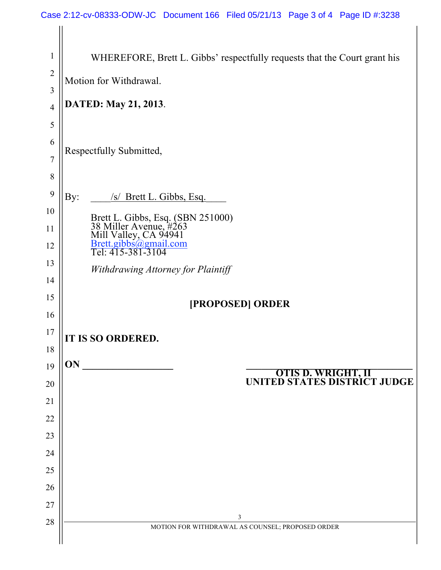